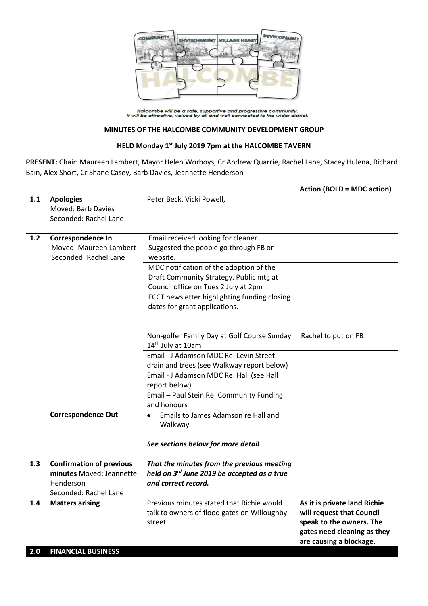

Halcombe will be a safe, supportive and progressive community.<br>It will be attractive, valued by all and well connected to the wider district.

## **MINUTES OF THE HALCOMBE COMMUNITY DEVELOPMENT GROUP**

## **HELD Monday 1 st July 2019 7pm at the HALCOMBE TAVERN**

**PRESENT:** Chair: Maureen Lambert, Mayor Helen Worboys, Cr Andrew Quarrie, Rachel Lane, Stacey Hulena, Richard Bain, Alex Short, Cr Shane Casey, Barb Davies, Jeannette Henderson

|     |                                                                                                   |                                                                                                                                                                                                                                                                                                         | <b>Action (BOLD = MDC action)</b>                                                                                                               |
|-----|---------------------------------------------------------------------------------------------------|---------------------------------------------------------------------------------------------------------------------------------------------------------------------------------------------------------------------------------------------------------------------------------------------------------|-------------------------------------------------------------------------------------------------------------------------------------------------|
| 1.1 | <b>Apologies</b><br>Moved: Barb Davies<br>Seconded: Rachel Lane                                   | Peter Beck, Vicki Powell,                                                                                                                                                                                                                                                                               |                                                                                                                                                 |
| 1.2 | Correspondence In<br>Moved: Maureen Lambert<br>Seconded: Rachel Lane                              | Email received looking for cleaner.<br>Suggested the people go through FB or<br>website.<br>MDC notification of the adoption of the<br>Draft Community Strategy. Public mtg at<br>Council office on Tues 2 July at 2pm<br>ECCT newsletter highlighting funding closing<br>dates for grant applications. |                                                                                                                                                 |
|     |                                                                                                   | Non-golfer Family Day at Golf Course Sunday<br>14 <sup>th</sup> July at 10am<br>Email - J Adamson MDC Re: Levin Street<br>drain and trees (see Walkway report below)<br>Email - J Adamson MDC Re: Hall (see Hall<br>report below)<br>Email - Paul Stein Re: Community Funding                           | Rachel to put on FB                                                                                                                             |
|     | <b>Correspondence Out</b>                                                                         | and honours<br>Emails to James Adamson re Hall and<br>$\bullet$<br>Walkway<br>See sections below for more detail                                                                                                                                                                                        |                                                                                                                                                 |
| 1.3 | <b>Confirmation of previous</b><br>minutes Moved: Jeannette<br>Henderson<br>Seconded: Rachel Lane | That the minutes from the previous meeting<br>held on 3rd June 2019 be accepted as a true<br>and correct record.                                                                                                                                                                                        |                                                                                                                                                 |
| 1.4 | <b>Matters arising</b>                                                                            | Previous minutes stated that Richie would<br>talk to owners of flood gates on Willoughby<br>street.                                                                                                                                                                                                     | As it is private land Richie<br>will request that Council<br>speak to the owners. The<br>gates need cleaning as they<br>are causing a blockage. |
| 2.0 | <b>FINANCIAL BUSINESS</b>                                                                         |                                                                                                                                                                                                                                                                                                         |                                                                                                                                                 |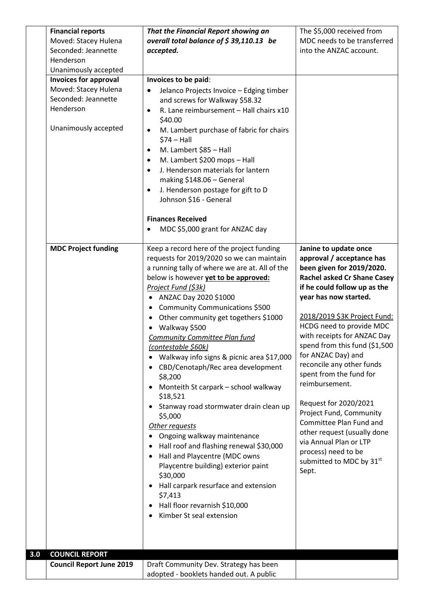|     | <b>Financial reports</b><br>Moved: Stacey Hulena<br>Seconded: Jeannette<br>Henderson<br>Unanimously accepted<br><b>Invoices for approval</b><br>Moved: Stacey Hulena<br>Seconded: Jeannette<br>Henderson<br>Unanimously accepted | That the Financial Report showing an<br>overall total balance of $$39,110.13$ be<br>accepted.<br>Invoices to be paid:<br>Jelanco Projects Invoice - Edging timber<br>and screws for Walkway \$58.32<br>R. Lane reimbursement - Hall chairs x10<br>$\bullet$<br>\$40.00<br>M. Lambert purchase of fabric for chairs<br>$\bullet$<br>$$74 - Hall$<br>M. Lambert \$85 - Hall<br>$\bullet$<br>M. Lambert \$200 mops - Hall<br>$\bullet$<br>J. Henderson materials for lantern<br>$\bullet$<br>making \$148.06 - General<br>J. Henderson postage for gift to D<br>٠<br>Johnson \$16 - General<br><b>Finances Received</b><br>MDC \$5,000 grant for ANZAC day<br>٠                                                                                                                                                                                                                                                                                                                   | The \$5,000 received from<br>MDC needs to be transferred<br>into the ANZAC account.                                                                                                                                                                                                                                                                                                                                                                                                                                                                                                                                        |
|-----|----------------------------------------------------------------------------------------------------------------------------------------------------------------------------------------------------------------------------------|--------------------------------------------------------------------------------------------------------------------------------------------------------------------------------------------------------------------------------------------------------------------------------------------------------------------------------------------------------------------------------------------------------------------------------------------------------------------------------------------------------------------------------------------------------------------------------------------------------------------------------------------------------------------------------------------------------------------------------------------------------------------------------------------------------------------------------------------------------------------------------------------------------------------------------------------------------------------------------|----------------------------------------------------------------------------------------------------------------------------------------------------------------------------------------------------------------------------------------------------------------------------------------------------------------------------------------------------------------------------------------------------------------------------------------------------------------------------------------------------------------------------------------------------------------------------------------------------------------------------|
| 3.0 | <b>MDC Project funding</b>                                                                                                                                                                                                       | Keep a record here of the project funding<br>requests for 2019/2020 so we can maintain<br>a running tally of where we are at. All of the<br>below is however yet to be approved:<br>Project Fund (\$3k)<br>ANZAC Day 2020 \$1000<br>$\bullet$<br>Community Communications \$500<br>$\bullet$<br>Other community get togethers \$1000<br>$\bullet$<br>Walkway \$500<br>$\bullet$<br><b>Community Committee Plan fund</b><br>(contestable \$60k)<br>Walkway info signs & picnic area \$17,000<br>CBD/Cenotaph/Rec area development<br>\$8,200<br>Monteith St carpark - school walkway<br>\$18,521<br>Stanway road stormwater drain clean up<br>\$5,000<br>Other requests<br>Ongoing walkway maintenance<br>Hall roof and flashing renewal \$30,000<br>$\bullet$<br>Hall and Playcentre (MDC owns<br>Playcentre building) exterior paint<br>\$30,000<br>Hall carpark resurface and extension<br>\$7,413<br>Hall floor revarnish \$10,000<br>$\bullet$<br>Kimber St seal extension | Janine to update once<br>approval / acceptance has<br>been given for 2019/2020.<br><b>Rachel asked Cr Shane Casey</b><br>if he could follow up as the<br>year has now started.<br>2018/2019 \$3K Project Fund:<br>HCDG need to provide MDC<br>with receipts for ANZAC Day<br>spend from this fund (\$1,500<br>for ANZAC Day) and<br>reconcile any other funds<br>spent from the fund for<br>reimbursement.<br>Request for 2020/2021<br>Project Fund, Community<br>Committee Plan Fund and<br>other request (usually done<br>via Annual Plan or LTP<br>process) need to be<br>submitted to MDC by 31 <sup>st</sup><br>Sept. |
|     | <b>COUNCIL REPORT</b><br><b>Council Report June 2019</b>                                                                                                                                                                         | Draft Community Dev. Strategy has been<br>adopted - booklets handed out. A public                                                                                                                                                                                                                                                                                                                                                                                                                                                                                                                                                                                                                                                                                                                                                                                                                                                                                              |                                                                                                                                                                                                                                                                                                                                                                                                                                                                                                                                                                                                                            |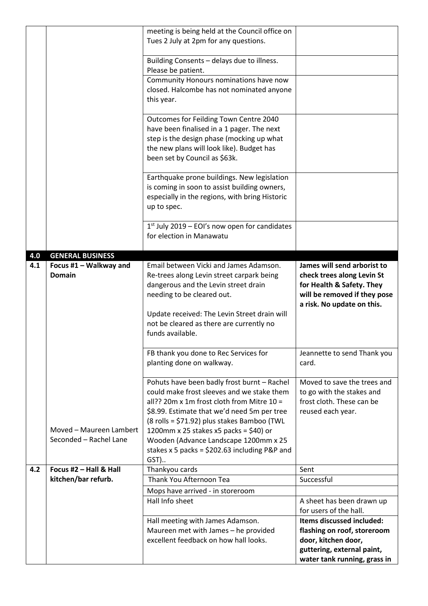|     |                         | meeting is being held at the Council office on               |                              |
|-----|-------------------------|--------------------------------------------------------------|------------------------------|
|     |                         | Tues 2 July at 2pm for any questions.                        |                              |
|     |                         |                                                              |                              |
|     |                         | Building Consents - delays due to illness.                   |                              |
|     |                         | Please be patient.                                           |                              |
|     |                         | Community Honours nominations have now                       |                              |
|     |                         | closed. Halcombe has not nominated anyone                    |                              |
|     |                         | this year.                                                   |                              |
|     |                         |                                                              |                              |
|     |                         | Outcomes for Feilding Town Centre 2040                       |                              |
|     |                         | have been finalised in a 1 pager. The next                   |                              |
|     |                         | step is the design phase (mocking up what                    |                              |
|     |                         | the new plans will look like). Budget has                    |                              |
|     |                         | been set by Council as \$63k.                                |                              |
|     |                         |                                                              |                              |
|     |                         | Earthquake prone buildings. New legislation                  |                              |
|     |                         | is coming in soon to assist building owners,                 |                              |
|     |                         | especially in the regions, with bring Historic               |                              |
|     |                         | up to spec.                                                  |                              |
|     |                         |                                                              |                              |
|     |                         | $1st$ July 2019 – EOI's now open for candidates              |                              |
|     |                         | for election in Manawatu                                     |                              |
|     |                         |                                                              |                              |
| 4.0 | <b>GENERAL BUSINESS</b> |                                                              |                              |
| 4.1 | Focus #1 - Walkway and  | Email between Vicki and James Adamson.                       | James will send arborist to  |
|     | <b>Domain</b>           | Re-trees along Levin street carpark being                    | check trees along Levin St   |
|     |                         | dangerous and the Levin street drain                         | for Health & Safety. They    |
|     |                         | needing to be cleared out.                                   | will be removed if they pose |
|     |                         |                                                              | a risk. No update on this.   |
|     |                         |                                                              |                              |
|     |                         |                                                              |                              |
|     |                         | Update received: The Levin Street drain will                 |                              |
|     |                         | not be cleared as there are currently no<br>funds available. |                              |
|     |                         |                                                              |                              |
|     |                         | FB thank you done to Rec Services for                        | Jeannette to send Thank you  |
|     |                         | planting done on walkway.                                    | card.                        |
|     |                         |                                                              |                              |
|     |                         | Pohuts have been badly frost burnt - Rachel                  | Moved to save the trees and  |
|     |                         | could make frost sleeves and we stake them                   | to go with the stakes and    |
|     |                         | all?? 20m x 1m frost cloth from Mitre $10 =$                 | frost cloth. These can be    |
|     |                         | \$8.99. Estimate that we'd need 5m per tree                  | reused each year.            |
|     |                         | (8 rolls = \$71.92) plus stakes Bamboo (TWL                  |                              |
|     | Moved - Maureen Lambert | 1200mm x 25 stakes x5 packs = \$40) or                       |                              |
|     | Seconded - Rachel Lane  | Wooden (Advance Landscape 1200mm x 25                        |                              |
|     |                         | stakes $x 5$ packs = \$202.63 including P&P and              |                              |
|     |                         | GST)                                                         |                              |
| 4.2 | Focus #2 - Hall & Hall  | Thankyou cards                                               | Sent                         |
|     | kitchen/bar refurb.     | Thank You Afternoon Tea                                      | Successful                   |
|     |                         | Mops have arrived - in storeroom                             |                              |
|     |                         | Hall Info sheet                                              | A sheet has been drawn up    |
|     |                         |                                                              | for users of the hall.       |
|     |                         | Hall meeting with James Adamson.                             | Items discussed included:    |
|     |                         | Maureen met with James - he provided                         | flashing on roof, storeroom  |
|     |                         | excellent feedback on how hall looks.                        | door, kitchen door,          |
|     |                         |                                                              | guttering, external paint,   |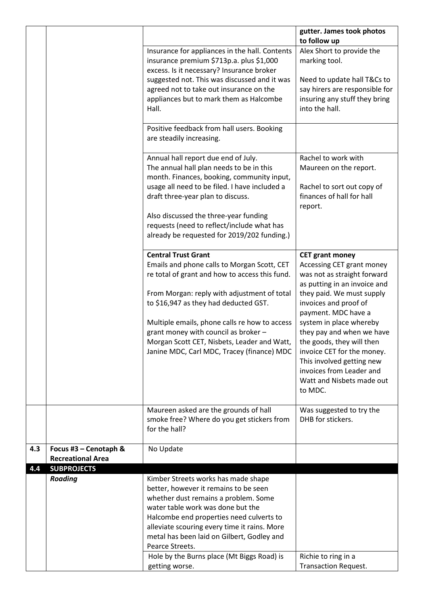|     |                          |                                                                                        | gutter. James took photos                       |
|-----|--------------------------|----------------------------------------------------------------------------------------|-------------------------------------------------|
|     |                          | Insurance for appliances in the hall. Contents                                         | to follow up<br>Alex Short to provide the       |
|     |                          | insurance premium \$713p.a. plus \$1,000                                               | marking tool.                                   |
|     |                          | excess. Is it necessary? Insurance broker                                              |                                                 |
|     |                          | suggested not. This was discussed and it was                                           | Need to update hall T&Cs to                     |
|     |                          | agreed not to take out insurance on the                                                | say hirers are responsible for                  |
|     |                          | appliances but to mark them as Halcombe                                                | insuring any stuff they bring<br>into the hall. |
|     |                          | Hall.                                                                                  |                                                 |
|     |                          | Positive feedback from hall users. Booking                                             |                                                 |
|     |                          | are steadily increasing.                                                               |                                                 |
|     |                          |                                                                                        |                                                 |
|     |                          | Annual hall report due end of July.                                                    | Rachel to work with                             |
|     |                          | The annual hall plan needs to be in this<br>month. Finances, booking, community input, | Maureen on the report.                          |
|     |                          | usage all need to be filed. I have included a                                          | Rachel to sort out copy of                      |
|     |                          | draft three-year plan to discuss.                                                      | finances of hall for hall                       |
|     |                          |                                                                                        | report.                                         |
|     |                          | Also discussed the three-year funding                                                  |                                                 |
|     |                          | requests (need to reflect/include what has                                             |                                                 |
|     |                          | already be requested for 2019/202 funding.)                                            |                                                 |
|     |                          | <b>Central Trust Grant</b>                                                             | <b>CET grant money</b>                          |
|     |                          | Emails and phone calls to Morgan Scott, CET                                            | Accessing CET grant money                       |
|     |                          | re total of grant and how to access this fund.                                         | was not as straight forward                     |
|     |                          |                                                                                        | as putting in an invoice and                    |
|     |                          | From Morgan: reply with adjustment of total                                            | they paid. We must supply                       |
|     |                          | to \$16,947 as they had deducted GST.                                                  | invoices and proof of                           |
|     |                          | Multiple emails, phone calls re how to access                                          | payment. MDC have a<br>system in place whereby  |
|     |                          | grant money with council as broker -                                                   | they pay and when we have                       |
|     |                          | Morgan Scott CET, Nisbets, Leader and Watt,                                            | the goods, they will then                       |
|     |                          | Janine MDC, Carl MDC, Tracey (finance) MDC                                             | invoice CET for the money.                      |
|     |                          |                                                                                        | This involved getting new                       |
|     |                          |                                                                                        | invoices from Leader and                        |
|     |                          |                                                                                        | Watt and Nisbets made out                       |
|     |                          |                                                                                        | to MDC.                                         |
|     |                          | Maureen asked are the grounds of hall                                                  | Was suggested to try the                        |
|     |                          | smoke free? Where do you get stickers from                                             | DHB for stickers.                               |
|     |                          | for the hall?                                                                          |                                                 |
| 4.3 | Focus #3 - Cenotaph &    | No Update                                                                              |                                                 |
|     | <b>Recreational Area</b> |                                                                                        |                                                 |
| 4.4 | <b>SUBPROJECTS</b>       |                                                                                        |                                                 |
|     | <b>Roading</b>           | Kimber Streets works has made shape                                                    |                                                 |
|     |                          | better, however it remains to be seen                                                  |                                                 |
|     |                          | whether dust remains a problem. Some<br>water table work was done but the              |                                                 |
|     |                          | Halcombe end properties need culverts to                                               |                                                 |
|     |                          | alleviate scouring every time it rains. More                                           |                                                 |
|     |                          | metal has been laid on Gilbert, Godley and                                             |                                                 |
|     |                          | Pearce Streets.                                                                        |                                                 |
|     |                          | Hole by the Burns place (Mt Biggs Road) is                                             | Richie to ring in a                             |
|     |                          | getting worse.                                                                         | <b>Transaction Request.</b>                     |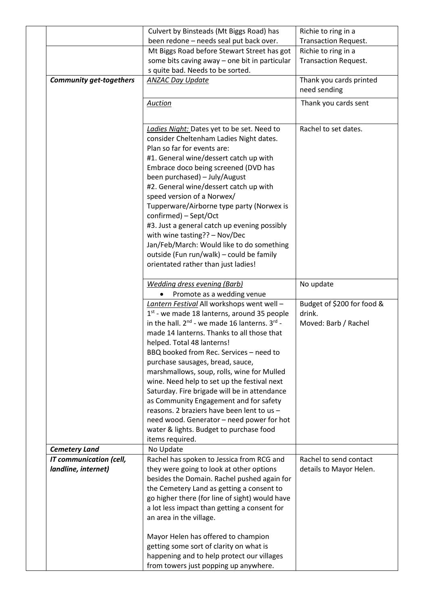|                                                       | Culvert by Binsteads (Mt Biggs Road) has                                                                                                                                                                                                                                                                                                                                                                                                                                                                                                                                                                                                                        | Richie to ring in a                                          |
|-------------------------------------------------------|-----------------------------------------------------------------------------------------------------------------------------------------------------------------------------------------------------------------------------------------------------------------------------------------------------------------------------------------------------------------------------------------------------------------------------------------------------------------------------------------------------------------------------------------------------------------------------------------------------------------------------------------------------------------|--------------------------------------------------------------|
|                                                       | been redone - needs seal put back over.                                                                                                                                                                                                                                                                                                                                                                                                                                                                                                                                                                                                                         | <b>Transaction Request.</b>                                  |
|                                                       | Mt Biggs Road before Stewart Street has got                                                                                                                                                                                                                                                                                                                                                                                                                                                                                                                                                                                                                     | Richie to ring in a                                          |
|                                                       | some bits caving away - one bit in particular                                                                                                                                                                                                                                                                                                                                                                                                                                                                                                                                                                                                                   | <b>Transaction Request.</b>                                  |
|                                                       | s quite bad. Needs to be sorted.                                                                                                                                                                                                                                                                                                                                                                                                                                                                                                                                                                                                                                |                                                              |
| <b>Community get-togethers</b>                        | <b>ANZAC Day Update</b>                                                                                                                                                                                                                                                                                                                                                                                                                                                                                                                                                                                                                                         | Thank you cards printed<br>need sending                      |
|                                                       | <b>Auction</b>                                                                                                                                                                                                                                                                                                                                                                                                                                                                                                                                                                                                                                                  | Thank you cards sent                                         |
|                                                       | Ladies Night: Dates yet to be set. Need to<br>consider Cheltenham Ladies Night dates.<br>Plan so far for events are:<br>#1. General wine/dessert catch up with<br>Embrace doco being screened (DVD has<br>been purchased) - July/August<br>#2. General wine/dessert catch up with<br>speed version of a Norwex/<br>Tupperware/Airborne type party (Norwex is<br>confirmed) - Sept/Oct<br>#3. Just a general catch up evening possibly                                                                                                                                                                                                                           | Rachel to set dates.                                         |
|                                                       | with wine tasting?? - Nov/Dec<br>Jan/Feb/March: Would like to do something<br>outside (Fun run/walk) - could be family<br>orientated rather than just ladies!                                                                                                                                                                                                                                                                                                                                                                                                                                                                                                   |                                                              |
|                                                       | <b>Wedding dress evening (Barb)</b><br>Promote as a wedding venue                                                                                                                                                                                                                                                                                                                                                                                                                                                                                                                                                                                               | No update                                                    |
|                                                       | Lantern Festival All workshops went well -<br>1st - we made 18 lanterns, around 35 people<br>in the hall. $2^{nd}$ - we made 16 lanterns. $3^{rd}$ -<br>made 14 lanterns. Thanks to all those that<br>helped. Total 48 lanterns!<br>BBQ booked from Rec. Services - need to<br>purchase sausages, bread, sauce,<br>marshmallows, soup, rolls, wine for Mulled<br>wine. Need help to set up the festival next<br>Saturday. Fire brigade will be in attendance<br>as Community Engagement and for safety<br>reasons. 2 braziers have been lent to us -<br>need wood. Generator - need power for hot<br>water & lights. Budget to purchase food<br>items required. | Budget of \$200 for food &<br>drink.<br>Moved: Barb / Rachel |
| <b>Cemetery Land</b>                                  | No Update                                                                                                                                                                                                                                                                                                                                                                                                                                                                                                                                                                                                                                                       |                                                              |
| <b>IT communication (cell,</b><br>landline, internet) | Rachel has spoken to Jessica from RCG and<br>they were going to look at other options<br>besides the Domain. Rachel pushed again for<br>the Cemetery Land as getting a consent to<br>go higher there (for line of sight) would have<br>a lot less impact than getting a consent for<br>an area in the village.                                                                                                                                                                                                                                                                                                                                                  | Rachel to send contact<br>details to Mayor Helen.            |
|                                                       | Mayor Helen has offered to champion<br>getting some sort of clarity on what is<br>happening and to help protect our villages<br>from towers just popping up anywhere.                                                                                                                                                                                                                                                                                                                                                                                                                                                                                           |                                                              |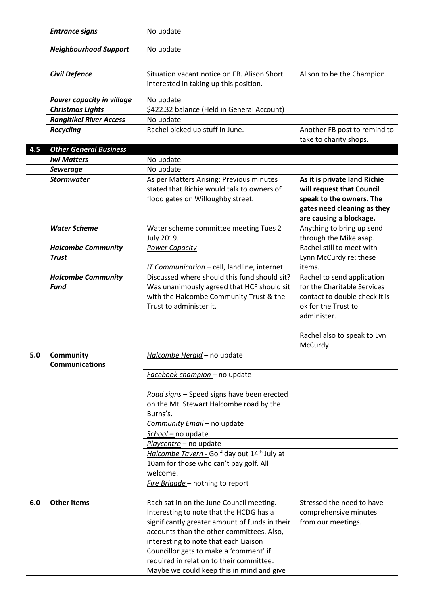|     | <b>Entrance signs</b>                     | No update                                                                                                                                                                                                                                                             |                                                                                                                                                                             |
|-----|-------------------------------------------|-----------------------------------------------------------------------------------------------------------------------------------------------------------------------------------------------------------------------------------------------------------------------|-----------------------------------------------------------------------------------------------------------------------------------------------------------------------------|
|     | <b>Neighbourhood Support</b>              | No update                                                                                                                                                                                                                                                             |                                                                                                                                                                             |
|     | <b>Civil Defence</b>                      | Situation vacant notice on FB. Alison Short<br>interested in taking up this position.                                                                                                                                                                                 | Alison to be the Champion.                                                                                                                                                  |
|     | Power capacity in village                 | No update.                                                                                                                                                                                                                                                            |                                                                                                                                                                             |
|     | <b>Christmas Lights</b>                   | \$422.32 balance (Held in General Account)                                                                                                                                                                                                                            |                                                                                                                                                                             |
|     | <b>Rangitikei River Access</b>            | No update                                                                                                                                                                                                                                                             |                                                                                                                                                                             |
|     | <b>Recycling</b>                          | Rachel picked up stuff in June.                                                                                                                                                                                                                                       | Another FB post to remind to<br>take to charity shops.                                                                                                                      |
| 4.5 | <b>Other General Business</b>             |                                                                                                                                                                                                                                                                       |                                                                                                                                                                             |
|     | <b>Iwi Matters</b>                        | No update.                                                                                                                                                                                                                                                            |                                                                                                                                                                             |
|     | <b>Sewerage</b>                           | No update.                                                                                                                                                                                                                                                            |                                                                                                                                                                             |
|     | <b>Stormwater</b>                         | As per Matters Arising: Previous minutes<br>stated that Richie would talk to owners of<br>flood gates on Willoughby street.                                                                                                                                           | As it is private land Richie<br>will request that Council<br>speak to the owners. The<br>gates need cleaning as they<br>are causing a blockage.                             |
|     | <b>Water Scheme</b>                       | Water scheme committee meeting Tues 2<br>July 2019.                                                                                                                                                                                                                   | Anything to bring up send<br>through the Mike asap.                                                                                                                         |
|     | <b>Halcombe Community</b><br><b>Trust</b> | <b>Power Capacity</b><br>IT Communication - cell, landline, internet.                                                                                                                                                                                                 | Rachel still to meet with<br>Lynn McCurdy re: these<br>items.                                                                                                               |
|     | <b>Halcombe Community</b><br><b>Fund</b>  | Discussed where should this fund should sit?<br>Was unanimously agreed that HCF should sit<br>with the Halcombe Community Trust & the<br>Trust to administer it.                                                                                                      | Rachel to send application<br>for the Charitable Services<br>contact to double check it is<br>ok for the Trust to<br>administer.<br>Rachel also to speak to Lyn<br>McCurdy. |
| 5.0 | <b>Community</b><br><b>Communications</b> | Halcombe Herald - no update                                                                                                                                                                                                                                           |                                                                                                                                                                             |
|     |                                           | Facebook champion - no update                                                                                                                                                                                                                                         |                                                                                                                                                                             |
|     |                                           | Road signs - Speed signs have been erected<br>on the Mt. Stewart Halcombe road by the<br>Burns's.<br>Community Email - no update                                                                                                                                      |                                                                                                                                                                             |
|     |                                           | School - no update                                                                                                                                                                                                                                                    |                                                                                                                                                                             |
|     |                                           | Playcentre - no update                                                                                                                                                                                                                                                |                                                                                                                                                                             |
|     |                                           | Halcombe Tavern - Golf day out 14 <sup>th</sup> July at<br>10am for those who can't pay golf. All<br>welcome.<br>Fire Brigade - nothing to report                                                                                                                     |                                                                                                                                                                             |
| 6.0 | <b>Other items</b>                        | Rach sat in on the June Council meeting.                                                                                                                                                                                                                              | Stressed the need to have                                                                                                                                                   |
|     |                                           | Interesting to note that the HCDG has a<br>significantly greater amount of funds in their<br>accounts than the other committees. Also,<br>interesting to note that each Liaison<br>Councillor gets to make a 'comment' if<br>required in relation to their committee. | comprehensive minutes<br>from our meetings.                                                                                                                                 |
|     |                                           | Maybe we could keep this in mind and give                                                                                                                                                                                                                             |                                                                                                                                                                             |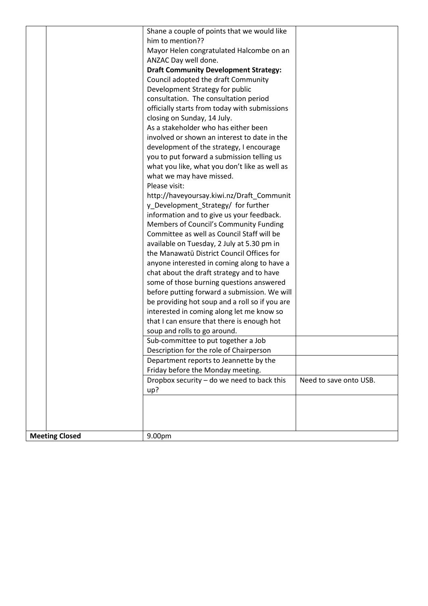|                       | Shane a couple of points that we would like<br>him to mention??  |                        |
|-----------------------|------------------------------------------------------------------|------------------------|
|                       |                                                                  |                        |
|                       | Mayor Helen congratulated Halcombe on an<br>ANZAC Day well done. |                        |
|                       | <b>Draft Community Development Strategy:</b>                     |                        |
|                       | Council adopted the draft Community                              |                        |
|                       | Development Strategy for public                                  |                        |
|                       | consultation. The consultation period                            |                        |
|                       | officially starts from today with submissions                    |                        |
|                       | closing on Sunday, 14 July.                                      |                        |
|                       | As a stakeholder who has either been                             |                        |
|                       | involved or shown an interest to date in the                     |                        |
|                       | development of the strategy, I encourage                         |                        |
|                       | you to put forward a submission telling us                       |                        |
|                       | what you like, what you don't like as well as                    |                        |
|                       | what we may have missed.                                         |                        |
|                       | Please visit:                                                    |                        |
|                       | http://haveyoursay.kiwi.nz/Draft_Communit                        |                        |
|                       | y_Development_Strategy/ for further                              |                        |
|                       | information and to give us your feedback.                        |                        |
|                       | Members of Council's Community Funding                           |                        |
|                       | Committee as well as Council Staff will be                       |                        |
|                       | available on Tuesday, 2 July at 5.30 pm in                       |                        |
|                       | the Manawatū District Council Offices for                        |                        |
|                       | anyone interested in coming along to have a                      |                        |
|                       | chat about the draft strategy and to have                        |                        |
|                       | some of those burning questions answered                         |                        |
|                       | before putting forward a submission. We will                     |                        |
|                       | be providing hot soup and a roll so if you are                   |                        |
|                       | interested in coming along let me know so                        |                        |
|                       | that I can ensure that there is enough hot                       |                        |
|                       | soup and rolls to go around.                                     |                        |
|                       | Sub-committee to put together a Job                              |                        |
|                       | Description for the role of Chairperson                          |                        |
|                       | Department reports to Jeannette by the                           |                        |
|                       | Friday before the Monday meeting.                                |                        |
|                       | Dropbox security - do we need to back this                       | Need to save onto USB. |
|                       | up?                                                              |                        |
|                       |                                                                  |                        |
|                       |                                                                  |                        |
|                       |                                                                  |                        |
| <b>Meeting Closed</b> | 9.00pm                                                           |                        |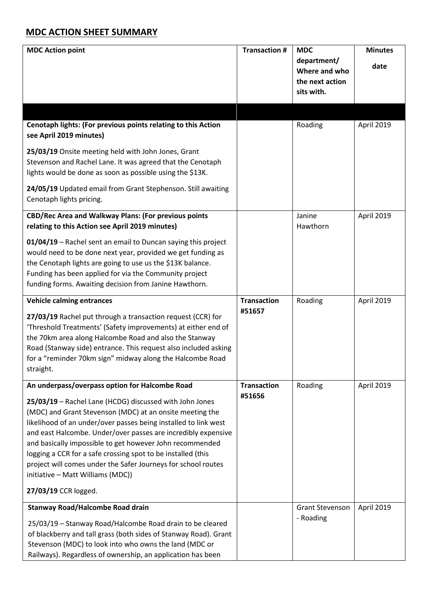## **MDC ACTION SHEET SUMMARY**

| <b>MDC Action point</b>                                                                                                                                                                                                                                                                                                                                                                                                                                                                   | <b>Transaction #</b> | <b>MDC</b><br>department/<br>Where and who<br>the next action<br>sits with. | <b>Minutes</b><br>date |
|-------------------------------------------------------------------------------------------------------------------------------------------------------------------------------------------------------------------------------------------------------------------------------------------------------------------------------------------------------------------------------------------------------------------------------------------------------------------------------------------|----------------------|-----------------------------------------------------------------------------|------------------------|
|                                                                                                                                                                                                                                                                                                                                                                                                                                                                                           |                      |                                                                             |                        |
| Cenotaph lights: (For previous points relating to this Action<br>see April 2019 minutes)                                                                                                                                                                                                                                                                                                                                                                                                  |                      | Roading                                                                     | April 2019             |
| 25/03/19 Onsite meeting held with John Jones, Grant<br>Stevenson and Rachel Lane. It was agreed that the Cenotaph<br>lights would be done as soon as possible using the \$13K.                                                                                                                                                                                                                                                                                                            |                      |                                                                             |                        |
| 24/05/19 Updated email from Grant Stephenson. Still awaiting<br>Cenotaph lights pricing.                                                                                                                                                                                                                                                                                                                                                                                                  |                      |                                                                             |                        |
| CBD/Rec Area and Walkway Plans: (For previous points<br>relating to this Action see April 2019 minutes)                                                                                                                                                                                                                                                                                                                                                                                   |                      | Janine<br>Hawthorn                                                          | April 2019             |
| 01/04/19 - Rachel sent an email to Duncan saying this project<br>would need to be done next year, provided we get funding as<br>the Cenotaph lights are going to use us the \$13K balance.<br>Funding has been applied for via the Community project<br>funding forms. Awaiting decision from Janine Hawthorn.                                                                                                                                                                            |                      |                                                                             |                        |
| <b>Vehicle calming entrances</b>                                                                                                                                                                                                                                                                                                                                                                                                                                                          | <b>Transaction</b>   | Roading                                                                     | April 2019             |
| 27/03/19 Rachel put through a transaction request (CCR) for<br>'Threshold Treatments' (Safety improvements) at either end of<br>the 70km area along Halcombe Road and also the Stanway<br>Road (Stanway side) entrance. This request also included asking<br>for a "reminder 70km sign" midway along the Halcombe Road<br>straight.                                                                                                                                                       | #51657               |                                                                             |                        |
| An underpass/overpass option for Halcombe Road                                                                                                                                                                                                                                                                                                                                                                                                                                            | <b>Transaction</b>   | Roading                                                                     | April 2019             |
| 25/03/19 - Rachel Lane (HCDG) discussed with John Jones<br>(MDC) and Grant Stevenson (MDC) at an onsite meeting the<br>likelihood of an under/over passes being installed to link west<br>and east Halcombe. Under/over passes are incredibly expensive<br>and basically impossible to get however John recommended<br>logging a CCR for a safe crossing spot to be installed (this<br>project will comes under the Safer Journeys for school routes<br>initiative - Matt Williams (MDC)) | #51656               |                                                                             |                        |
| 27/03/19 CCR logged.                                                                                                                                                                                                                                                                                                                                                                                                                                                                      |                      |                                                                             |                        |
| <b>Stanway Road/Halcombe Road drain</b>                                                                                                                                                                                                                                                                                                                                                                                                                                                   |                      | <b>Grant Stevenson</b>                                                      | April 2019             |
| 25/03/19 - Stanway Road/Halcombe Road drain to be cleared<br>of blackberry and tall grass (both sides of Stanway Road). Grant<br>Stevenson (MDC) to look into who owns the land (MDC or<br>Railways). Regardless of ownership, an application has been                                                                                                                                                                                                                                    |                      | - Roading                                                                   |                        |